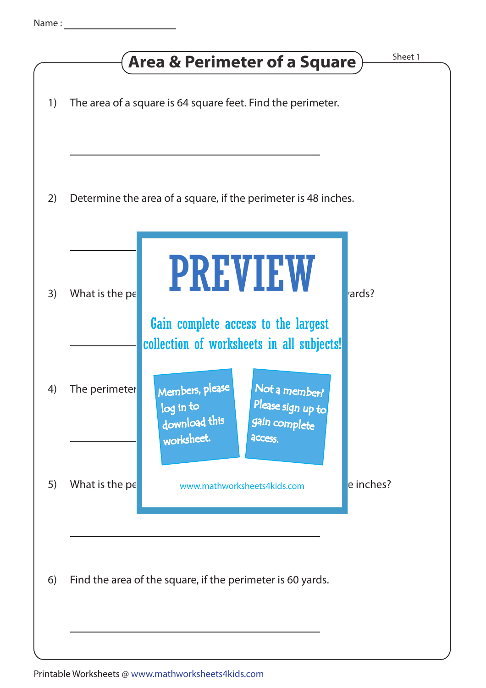